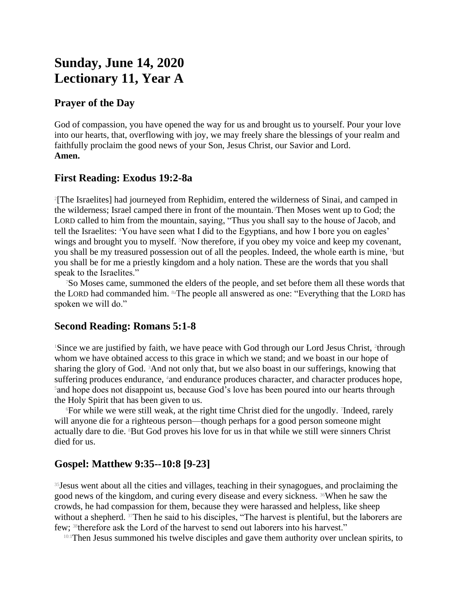# **Sunday, June 14, 2020 Lectionary 11, Year A**

### **Prayer of the Day**

God of compassion, you have opened the way for us and brought us to yourself. Pour your love into our hearts, that, overflowing with joy, we may freely share the blessings of your realm and faithfully proclaim the good news of your Son, Jesus Christ, our Savior and Lord. **Amen.**

#### **First Reading: Exodus 19:2-8a**

2 [The Israelites] had journeyed from Rephidim, entered the wilderness of Sinai, and camped in the wilderness; Israel camped there in front of the mountain.3Then Moses went up to God; the LORD called to him from the mountain, saying, "Thus you shall say to the house of Jacob, and tell the Israelites: 4You have seen what I did to the Egyptians, and how I bore you on eagles' wings and brought you to myself. <sup>5</sup>Now therefore, if you obey my voice and keep my covenant, you shall be my treasured possession out of all the peoples. Indeed, the whole earth is mine, but you shall be for me a priestly kingdom and a holy nation. These are the words that you shall speak to the Israelites."

<sup>7</sup>So Moses came, summoned the elders of the people, and set before them all these words that the LORD had commanded him. 8aThe people all answered as one: "Everything that the LORD has spoken we will do."

## **Second Reading: Romans 5:1-8**

<sup>1</sup>Since we are justified by faith, we have peace with God through our Lord Jesus Christ, <sup>2</sup>through whom we have obtained access to this grace in which we stand; and we boast in our hope of sharing the glory of God.  ${}^{3}$ And not only that, but we also boast in our sufferings, knowing that suffering produces endurance, 4and endurance produces character, and character produces hope, <sup>5</sup>and hope does not disappoint us, because God's love has been poured into our hearts through the Holy Spirit that has been given to us.

<sup>6</sup>For while we were still weak, at the right time Christ died for the ungodly. <sup>7</sup> Indeed, rarely will anyone die for a righteous person—though perhaps for a good person someone might actually dare to die. 8But God proves his love for us in that while we still were sinners Christ died for us.

## **Gospel: Matthew 9:35--10:8 [9-23]**

<sup>35</sup> Jesus went about all the cities and villages, teaching in their synagogues, and proclaiming the good news of the kingdom, and curing every disease and every sickness. 36When he saw the crowds, he had compassion for them, because they were harassed and helpless, like sheep without a shepherd. 37Then he said to his disciples, "The harvest is plentiful, but the laborers are few; 38therefore ask the Lord of the harvest to send out laborers into his harvest."

10:1Then Jesus summoned his twelve disciples and gave them authority over unclean spirits, to